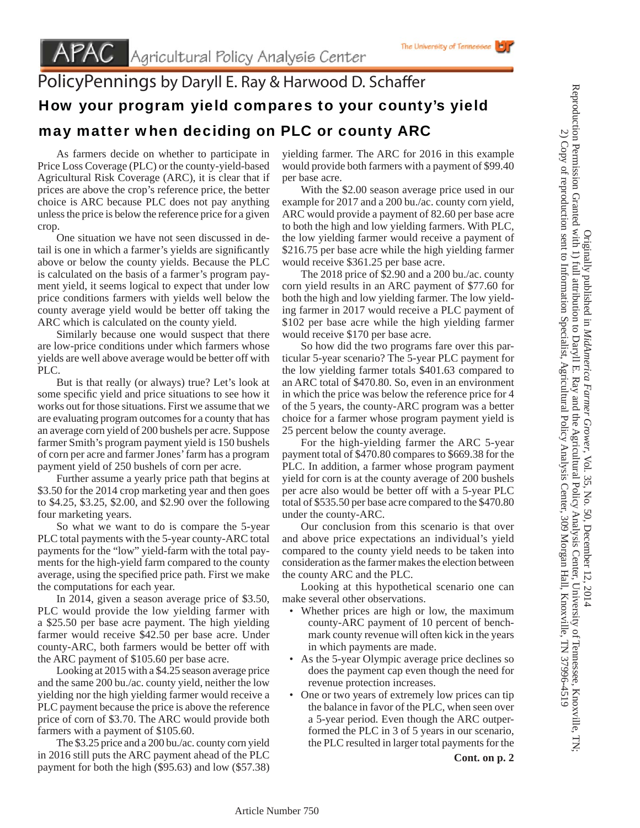## PolicyPennings by Daryll E. Ray & Harwood D. Schaffer How your program yield compares to your county's yield may matter when deciding on PLC or county ARC

 As farmers decide on whether to participate in Price Loss Coverage (PLC) or the county-yield-based Agricultural Risk Coverage (ARC), it is clear that if prices are above the crop's reference price, the better choice is ARC because PLC does not pay anything unless the price is below the reference price for a given crop.

 One situation we have not seen discussed in detail is one in which a farmer's yields are significantly above or below the county yields. Because the PLC is calculated on the basis of a farmer's program payment yield, it seems logical to expect that under low price conditions farmers with yields well below the county average yield would be better off taking the ARC which is calculated on the county yield.

 Similarly because one would suspect that there are low-price conditions under which farmers whose yields are well above average would be better off with PLC.

 But is that really (or always) true? Let's look at some specific yield and price situations to see how it works out for those situations. First we assume that we are evaluating program outcomes for a county that has an average corn yield of 200 bushels per acre. Suppose farmer Smith's program payment yield is 150 bushels of corn per acre and farmer Jones' farm has a program payment yield of 250 bushels of corn per acre.

 Further assume a yearly price path that begins at \$3.50 for the 2014 crop marketing year and then goes to \$4.25, \$3.25, \$2.00, and \$2.90 over the following four marketing years.

 So what we want to do is compare the 5-year PLC total payments with the 5-year county-ARC total payments for the "low" yield-farm with the total payments for the high-yield farm compared to the county average, using the specified price path. First we make the computations for each year.

 In 2014, given a season average price of \$3.50, PLC would provide the low yielding farmer with a \$25.50 per base acre payment. The high yielding farmer would receive \$42.50 per base acre. Under county-ARC, both farmers would be better off with the ARC payment of \$105.60 per base acre.

 Looking at 2015 with a \$4.25 season average price and the same 200 bu./ac. county yield, neither the low yielding nor the high yielding farmer would receive a PLC payment because the price is above the reference price of corn of \$3.70. The ARC would provide both farmers with a payment of \$105.60.

 The \$3.25 price and a 200 bu./ac. county corn yield in 2016 still puts the ARC payment ahead of the PLC payment for both the high (\$95.63) and low (\$57.38) yielding farmer. The ARC for 2016 in this example would provide both farmers with a payment of \$99.40 per base acre.

The University of Tennessee

 With the \$2.00 season average price used in our example for 2017 and a 200 bu./ac. county corn yield, ARC would provide a payment of 82.60 per base acre to both the high and low yielding farmers. With PLC, the low yielding farmer would receive a payment of \$216.75 per base acre while the high yielding farmer would receive \$361.25 per base acre.

 The 2018 price of \$2.90 and a 200 bu./ac. county corn yield results in an ARC payment of \$77.60 for both the high and low yielding farmer. The low yielding farmer in 2017 would receive a PLC payment of \$102 per base acre while the high yielding farmer would receive \$170 per base acre.

 So how did the two programs fare over this particular 5-year scenario? The 5-year PLC payment for the low yielding farmer totals \$401.63 compared to an ARC total of \$470.80. So, even in an environment in which the price was below the reference price for 4 of the 5 years, the county-ARC program was a better choice for a farmer whose program payment yield is 25 percent below the county average.

 For the high-yielding farmer the ARC 5-year payment total of \$470.80 compares to \$669.38 for the PLC. In addition, a farmer whose program payment yield for corn is at the county average of 200 bushels per acre also would be better off with a 5-year PLC total of \$535.50 per base acre compared to the \$470.80 under the county-ARC.

 Our conclusion from this scenario is that over and above price expectations an individual's yield compared to the county yield needs to be taken into consideration as the farmer makes the election between the county ARC and the PLC.

 Looking at this hypothetical scenario one can make several other observations.

- Whether prices are high or low, the maximum county-ARC payment of 10 percent of benchmark county revenue will often kick in the years in which payments are made.
- As the 5-year Olympic average price declines so does the payment cap even though the need for revenue protection increases.
- One or two years of extremely low prices can tip the balance in favor of the PLC, when seen over a 5-year period. Even though the ARC outperformed the PLC in 3 of 5 years in our scenario, the PLC resulted in larger total payments for the